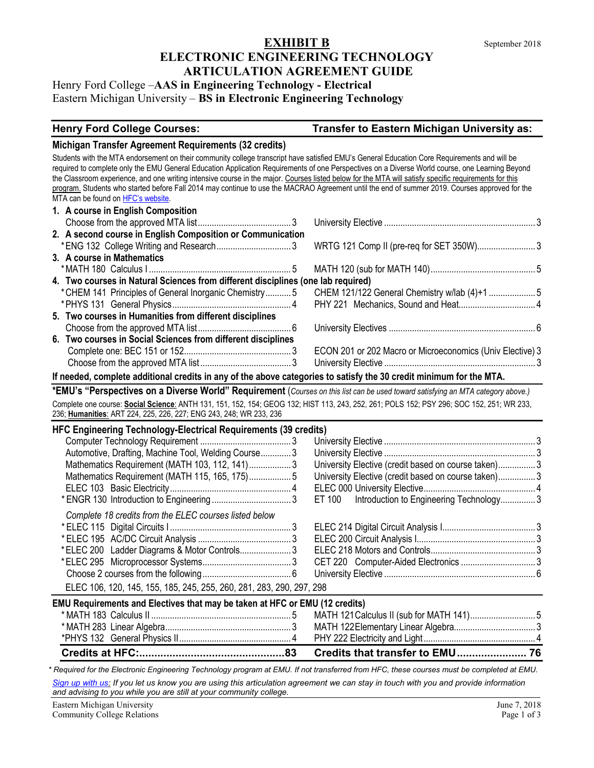## **EXHIBIT B** September 2018 **ELECTRONIC ENGINEERING TECHNOLOGY ARTICULATION AGREEMENT GUIDE**

Henry Ford College –**AAS in Engineering Technology - Electrical** Eastern Michigan University – **BS in Electronic Engineering Technology**

## **Henry Ford College Courses: Transfer to Eastern Michigan University as:**

#### **Michigan Transfer Agreement Requirements (32 credits)**

Students with the MTA endorsement on their community college transcript have satisfied EMU's General Education Core Requirements and will be required to complete only the EMU General Education Application Requirements of one Perspectives on a Diverse World course, one Learning Beyond the Classroom experience, and one writing intensive course in the major. Courses listed below for the MTA will satisfy specific requirements for this program. Students who started before Fall 2014 may continue to use the MACRAO Agreement until the end of summer 2019. Courses approved for the MTA can be found o[n HFC's website.](https://catalog.hfcc.edu/degrees/gen-ed)

|                                                                                  | 1. A course in English Composition                                                                 |                                                           |  |  |
|----------------------------------------------------------------------------------|----------------------------------------------------------------------------------------------------|-----------------------------------------------------------|--|--|
|                                                                                  |                                                                                                    |                                                           |  |  |
|                                                                                  | 2. A second course in English Composition or Communication                                         |                                                           |  |  |
|                                                                                  |                                                                                                    |                                                           |  |  |
|                                                                                  | 3. A course in Mathematics                                                                         |                                                           |  |  |
|                                                                                  |                                                                                                    |                                                           |  |  |
| 4. Two courses in Natural Sciences from different disciplines (one lab required) |                                                                                                    |                                                           |  |  |
|                                                                                  | * CHEM 141 Principles of General Inorganic Chemistry5 CHEM 121/122 General Chemistry w/lab (4)+1 5 |                                                           |  |  |
|                                                                                  |                                                                                                    |                                                           |  |  |
|                                                                                  | 5. Two courses in Humanities from different disciplines                                            |                                                           |  |  |
|                                                                                  |                                                                                                    |                                                           |  |  |
|                                                                                  | 6. Two courses in Social Sciences from different disciplines                                       |                                                           |  |  |
|                                                                                  |                                                                                                    | ECON 201 or 202 Macro or Microeconomics (Univ Elective) 3 |  |  |
|                                                                                  |                                                                                                    |                                                           |  |  |
|                                                                                  |                                                                                                    |                                                           |  |  |

#### **If needed, complete additional credits in any of the above categories to satisfy the 30 credit minimum for the MTA.**

**\*EMU's "Perspectives on a Diverse World" Requirement** (*Courses on this list can be used toward satisfying an MTA category above.)* Complete one course: **Social Science**: ANTH 131, 151, 152, 154; GEOG 132; HIST 113, 243, 252, 261; POLS 152; PSY 296; SOC 152, 251; WR 233, 236; **Humanities**: ART 224, 225, 226, 227; ENG 243, 248; WR 233, 236

### **HFC Engineering Technology-Electrical Requirements (39 credits)**

| $\mathbf{u} \cdot \mathbf{v} = \mathbf{u} \cdot \mathbf{v} \cdot \mathbf{v} \cdot \mathbf{v} \cdot \mathbf{v} \cdot \mathbf{v} \cdot \mathbf{v} \cdot \mathbf{v} \cdot \mathbf{v} \cdot \mathbf{v} \cdot \mathbf{v} \cdot \mathbf{v} \cdot \mathbf{v} \cdot \mathbf{v} \cdot \mathbf{v} \cdot \mathbf{v} \cdot \mathbf{v} \cdot \mathbf{v} \cdot \mathbf{v} \cdot \mathbf{v} \cdot \mathbf{v} \cdot \mathbf{v} \cdot \mathbf{v} \cdot \mathbf{v} \cdot \mathbf{v} \cdot \mathbf{v$ |                                                      |  |  |  |  |  |
|------------------------------------------------------------------------------------------------------------------------------------------------------------------------------------------------------------------------------------------------------------------------------------------------------------------------------------------------------------------------------------------------------------------------------------------------------------------------------------|------------------------------------------------------|--|--|--|--|--|
|                                                                                                                                                                                                                                                                                                                                                                                                                                                                                    |                                                      |  |  |  |  |  |
| Automotive, Drafting, Machine Tool, Welding Course3                                                                                                                                                                                                                                                                                                                                                                                                                                |                                                      |  |  |  |  |  |
| Mathematics Requirement (MATH 103, 112, 141)3                                                                                                                                                                                                                                                                                                                                                                                                                                      | University Elective (credit based on course taken) 3 |  |  |  |  |  |
| Mathematics Requirement (MATH 115, 165, 175)5                                                                                                                                                                                                                                                                                                                                                                                                                                      | University Elective (credit based on course taken)3  |  |  |  |  |  |
|                                                                                                                                                                                                                                                                                                                                                                                                                                                                                    |                                                      |  |  |  |  |  |
|                                                                                                                                                                                                                                                                                                                                                                                                                                                                                    | ET 100 Introduction to Engineering Technology3       |  |  |  |  |  |
| Complete 18 credits from the ELEC courses listed below                                                                                                                                                                                                                                                                                                                                                                                                                             |                                                      |  |  |  |  |  |
|                                                                                                                                                                                                                                                                                                                                                                                                                                                                                    |                                                      |  |  |  |  |  |
|                                                                                                                                                                                                                                                                                                                                                                                                                                                                                    |                                                      |  |  |  |  |  |
| *ELEC 200 Ladder Diagrams & Motor Controls3                                                                                                                                                                                                                                                                                                                                                                                                                                        |                                                      |  |  |  |  |  |
|                                                                                                                                                                                                                                                                                                                                                                                                                                                                                    |                                                      |  |  |  |  |  |
|                                                                                                                                                                                                                                                                                                                                                                                                                                                                                    |                                                      |  |  |  |  |  |
| ELEC 106, 120, 145, 155, 185, 245, 255, 260, 281, 283, 290, 297, 298                                                                                                                                                                                                                                                                                                                                                                                                               |                                                      |  |  |  |  |  |
| EMU Requirements and Electives that may be taken at HFC or EMU (12 credits)                                                                                                                                                                                                                                                                                                                                                                                                        |                                                      |  |  |  |  |  |
|                                                                                                                                                                                                                                                                                                                                                                                                                                                                                    |                                                      |  |  |  |  |  |
|                                                                                                                                                                                                                                                                                                                                                                                                                                                                                    |                                                      |  |  |  |  |  |
|                                                                                                                                                                                                                                                                                                                                                                                                                                                                                    |                                                      |  |  |  |  |  |
|                                                                                                                                                                                                                                                                                                                                                                                                                                                                                    |                                                      |  |  |  |  |  |

**Credits at HFC:................................................83 Credits that transfer to EMU....................... 76** *\* Required for the Electronic Engineering Technology program at EMU. If not transferred from HFC, these courses must be completed at EMU.* 

*[Sign up with us:](https://www.emich.edu/ccr/articulation-agreements/signup.php) If you let us know you are using this articulation agreement we can stay in touch with you and provide information and advising to you while you are still at your community college.*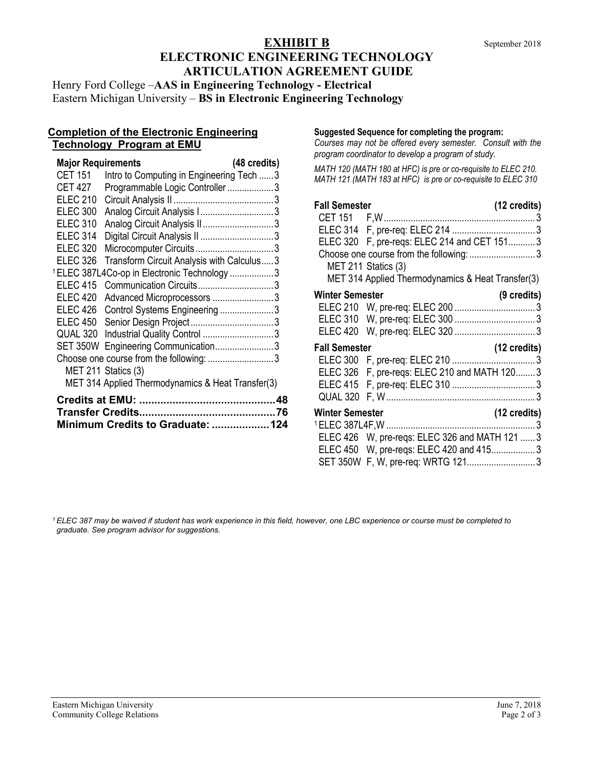# **EXHIBIT B** September 2018 **ELECTRONIC ENGINEERING TECHNOLOGY ARTICULATION AGREEMENT GUIDE**

Henry Ford College –**AAS in Engineering Technology - Electrical** Eastern Michigan University – **BS in Electronic Engineering Technology**

### **Completion of the Electronic Engineering Technology Program at EMU**

| <b>Major Requirements</b>         |                                                         | (48 credits) |  |  |  |
|-----------------------------------|---------------------------------------------------------|--------------|--|--|--|
| <b>CET 151</b>                    | Intro to Computing in Engineering Tech 3                |              |  |  |  |
| <b>CET 427</b>                    | Programmable Logic Controller3                          |              |  |  |  |
| <b>ELEC 210</b>                   |                                                         |              |  |  |  |
| <b>ELEC 300</b>                   | Analog Circuit Analysis I3                              |              |  |  |  |
| <b>ELEC 310</b>                   | Analog Circuit Analysis II3                             |              |  |  |  |
| <b>ELEC 314</b>                   | Digital Circuit Analysis II 3                           |              |  |  |  |
| <b>ELEC 320</b>                   |                                                         |              |  |  |  |
| <b>ELEC 326</b>                   | Transform Circuit Analysis with Calculus3               |              |  |  |  |
|                                   | <sup>1</sup> ELEC 387L4Co-op in Electronic Technology 3 |              |  |  |  |
| <b>ELEC 415</b>                   | Communication Circuits3                                 |              |  |  |  |
| <b>ELEC 420</b>                   | Advanced Microprocessors 3                              |              |  |  |  |
| <b>ELEC 426</b>                   | Control Systems Engineering 3                           |              |  |  |  |
| <b>ELEC 450</b>                   |                                                         |              |  |  |  |
| QUAL 320                          | Industrial Quality Control 3                            |              |  |  |  |
|                                   | SET 350W Engineering Communication3                     |              |  |  |  |
|                                   | Choose one course from the following: 3                 |              |  |  |  |
|                                   | MET 211 Statics (3)                                     |              |  |  |  |
|                                   | MET 314 Applied Thermodynamics & Heat Transfer(3)       |              |  |  |  |
|                                   |                                                         |              |  |  |  |
|                                   |                                                         |              |  |  |  |
| Minimum Credits to Graduate:  124 |                                                         |              |  |  |  |

#### **Suggested Sequence for completing the program:**

*Courses may not be offered every semester. Consult with the program coordinator to develop a program of study.* 

*MATH 120 (MATH 180 at HFC) is pre or co-requisite to ELEC 210. MATH 121 (MATH 183 at HFC) is pre or co-requisite to ELEC 310*

| <b>Fall Semester</b>                   |                                                   | (12 credits)          |  |  |  |
|----------------------------------------|---------------------------------------------------|-----------------------|--|--|--|
|                                        |                                                   |                       |  |  |  |
|                                        |                                                   |                       |  |  |  |
|                                        | ELEC 320 F, pre-reqs: ELEC 214 and CET 1513       |                       |  |  |  |
|                                        |                                                   |                       |  |  |  |
|                                        | MET 211 Statics (3)                               |                       |  |  |  |
|                                        | MET 314 Applied Thermodynamics & Heat Transfer(3) |                       |  |  |  |
| <b>Winter Semester</b>                 |                                                   | $(9 \text{ credits})$ |  |  |  |
|                                        |                                                   |                       |  |  |  |
|                                        |                                                   |                       |  |  |  |
|                                        |                                                   |                       |  |  |  |
| <b>Fall Semester</b><br>(12 credits)   |                                                   |                       |  |  |  |
|                                        |                                                   |                       |  |  |  |
|                                        | ELEC 326 F, pre-reqs: ELEC 210 and MATH 120 3     |                       |  |  |  |
|                                        |                                                   |                       |  |  |  |
|                                        |                                                   |                       |  |  |  |
| <b>Winter Semester</b><br>(12 credits) |                                                   |                       |  |  |  |
|                                        |                                                   |                       |  |  |  |
|                                        | ELEC 426 W, pre-reqs: ELEC 326 and MATH 121  3    |                       |  |  |  |
|                                        | ELEC 450 W, pre-regs: ELEC 420 and 4153           |                       |  |  |  |
|                                        | SET 350W F, W, pre-req: WRTG 1213                 |                       |  |  |  |

*<sup>1</sup> ELEC 387 may be waived if student has work experience in this field, however, one LBC experience or course must be completed to graduate. See program advisor for suggestions.*